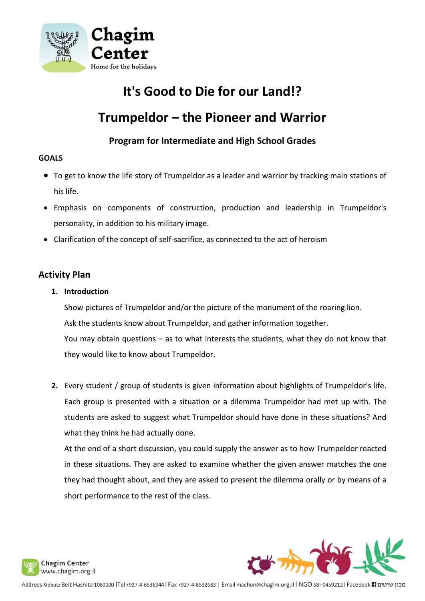

# **It's Good to Die for our Land!?**

# **Trumpeldor – the Pioneer and Warrior**

# **Program for Intermediate and High School Grades**

#### **GOALS**

- To get to know the life story of Trumpeldor as a leader and warrior by tracking main stations of his life.
- Emphasis on components of construction, production and leadership in Trumpeldor's personality, in addition to his military image.
- Clarification of the concept of self-sacrifice, as connected to the act of heroism

## **Activity Plan**

**1. Introduction**

Show pictures of Trumpeldor and/or the picture of the monument of the roaring lion. Ask the students know about Trumpeldor, and gather information together. You may obtain questions – as to what interests the students, what they do not know that they would like to know about Trumpeldor.

**2.** Every student / group of students is given information about highlights of Trumpeldor's life. Each group is presented with a situation or a dilemma Trumpeldor had met up with. The students are asked to suggest what Trumpeldor should have done in these situations? And what they think he had actually done.

At the end of a short discussion, you could supply the answer as to how Trumpeldor reacted in these situations. They are asked to examine whether the given answer matches the one they had thought about, and they are asked to present the dilemma orally or by means of a short performance to the rest of the class.



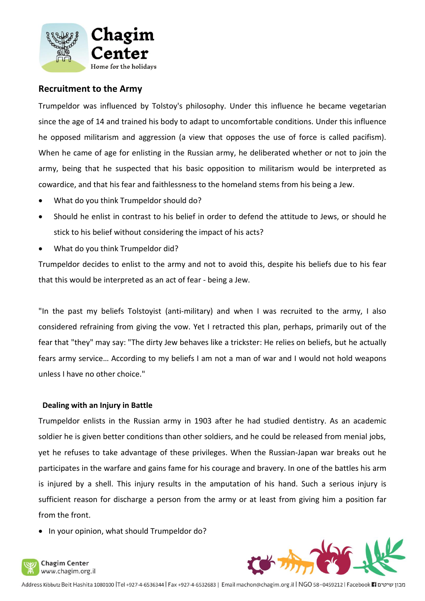

### **Recruitment to the Army**

Trumpeldor was influenced by Tolstoy's philosophy. Under this influence he became vegetarian since the age of 14 and trained his body to adapt to uncomfortable conditions. Under this influence he opposed militarism and aggression (a view that opposes the use of force is called pacifism). When he came of age for enlisting in the Russian army, he deliberated whether or not to join the army, being that he suspected that his basic opposition to militarism would be interpreted as cowardice, and that his fear and faithlessness to the homeland stems from his being a Jew.

- What do you think Trumpeldor should do?
- Should he enlist in contrast to his belief in order to defend the attitude to Jews, or should he stick to his belief without considering the impact of his acts?
- What do you think Trumpeldor did?

Trumpeldor decides to enlist to the army and not to avoid this, despite his beliefs due to his fear that this would be interpreted as an act of fear - being a Jew.

"In the past my beliefs Tolstoyist (anti-military) and when I was recruited to the army, I also considered refraining from giving the vow. Yet I retracted this plan, perhaps, primarily out of the fear that "they" may say: "The dirty Jew behaves like a trickster: He relies on beliefs, but he actually fears army service… According to my beliefs I am not a man of war and I would not hold weapons unless I have no other choice."

#### **Dealing with an Injury in Battle**

Trumpeldor enlists in the Russian army in 1903 after he had studied dentistry. As an academic soldier he is given better conditions than other soldiers, and he could be released from menial jobs, yet he refuses to take advantage of these privileges. When the Russian-Japan war breaks out he participates in the warfare and gains fame for his courage and bravery. In one of the battles his arm is injured by a shell. This injury results in the amputation of his hand. Such a serious injury is sufficient reason for discharge a person from the army or at least from giving him a position far from the front.

• In your opinion, what should Trumpeldor do?



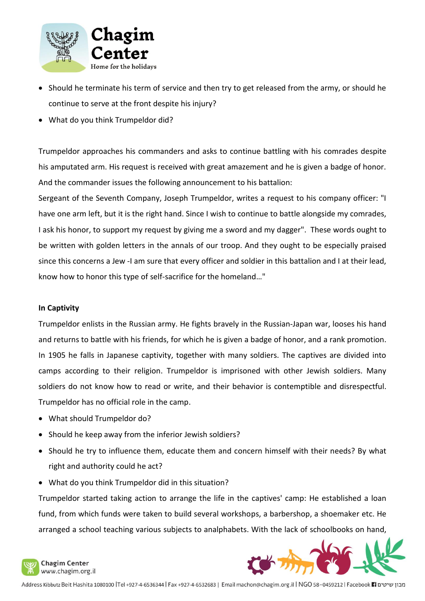

- Should he terminate his term of service and then try to get released from the army, or should he continue to serve at the front despite his injury?
- What do you think Trumpeldor did?

Trumpeldor approaches his commanders and asks to continue battling with his comrades despite his amputated arm. His request is received with great amazement and he is given a badge of honor. And the commander issues the following announcement to his battalion:

Sergeant of the Seventh Company, Joseph Trumpeldor, writes a request to his company officer: "I have one arm left, but it is the right hand. Since I wish to continue to battle alongside my comrades, I ask his honor, to support my request by giving me a sword and my dagger". These words ought to be written with golden letters in the annals of our troop. And they ought to be especially praised since this concerns a Jew -I am sure that every officer and soldier in this battalion and I at their lead, know how to honor this type of self-sacrifice for the homeland…"

#### **In Captivity**

Trumpeldor enlists in the Russian army. He fights bravely in the Russian-Japan war, looses his hand and returns to battle with his friends, for which he is given a badge of honor, and a rank promotion. In 1905 he falls in Japanese captivity, together with many soldiers. The captives are divided into camps according to their religion. Trumpeldor is imprisoned with other Jewish soldiers. Many soldiers do not know how to read or write, and their behavior is contemptible and disrespectful. Trumpeldor has no official role in the camp.

- What should Trumpeldor do?
- Should he keep away from the inferior Jewish soldiers?
- Should he try to influence them, educate them and concern himself with their needs? By what right and authority could he act?
- What do you think Trumpeldor did in this situation?

Trumpeldor started taking action to arrange the life in the captives' camp: He established a loan fund, from which funds were taken to build several workshops, a barbershop, a shoemaker etc. He arranged a school teaching various subjects to analphabets. With the lack of schoolbooks on hand,



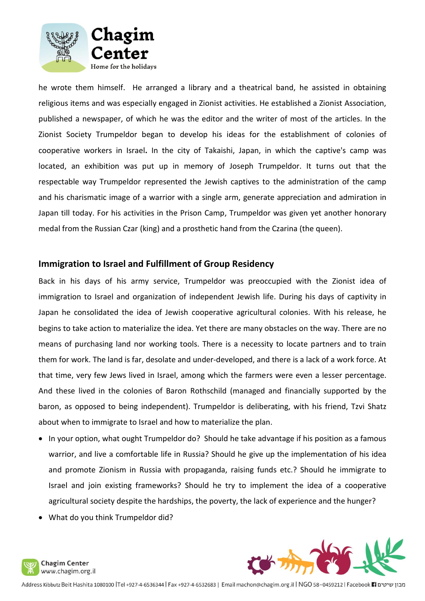

he wrote them himself. He arranged a library and a theatrical band, he assisted in obtaining religious items and was especially engaged in Zionist activities. He established a Zionist Association, published a newspaper, of which he was the editor and the writer of most of the articles. In the Zionist Society Trumpeldor began to develop his ideas for the establishment of colonies of cooperative workers in Israel**.** In the city of Takaishi, Japan, in which the captive's camp was located, an exhibition was put up in memory of Joseph Trumpeldor. It turns out that the respectable way Trumpeldor represented the Jewish captives to the administration of the camp and his charismatic image of a warrior with a single arm, generate appreciation and admiration in Japan till today. For his activities in the Prison Camp, Trumpeldor was given yet another honorary medal from the Russian Czar (king) and a prosthetic hand from the Czarina (the queen).

### **Immigration to Israel and Fulfillment of Group Residency**

Back in his days of his army service, Trumpeldor was preoccupied with the Zionist idea of immigration to Israel and organization of independent Jewish life. During his days of captivity in Japan he consolidated the idea of Jewish cooperative agricultural colonies. With his release, he begins to take action to materialize the idea. Yet there are many obstacles on the way. There are no means of purchasing land nor working tools. There is a necessity to locate partners and to train them for work. The land is far, desolate and under-developed, and there is a lack of a work force. At that time, very few Jews lived in Israel, among which the farmers were even a lesser percentage. And these lived in the colonies of Baron Rothschild (managed and financially supported by the baron, as opposed to being independent). Trumpeldor is deliberating, with his friend, Tzvi Shatz about when to immigrate to Israel and how to materialize the plan.

- In your option, what ought Trumpeldor do? Should he take advantage if his position as a famous warrior, and live a comfortable life in Russia? Should he give up the implementation of his idea and promote Zionism in Russia with propaganda, raising funds etc.? Should he immigrate to Israel and join existing frameworks? Should he try to implement the idea of a cooperative agricultural society despite the hardships, the poverty, the lack of experience and the hunger?
- What do you think Trumpeldor did?



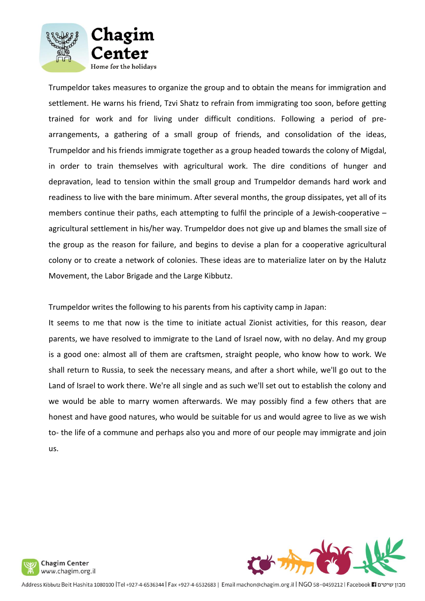

Trumpeldor takes measures to organize the group and to obtain the means for immigration and settlement. He warns his friend, Tzvi Shatz to refrain from immigrating too soon, before getting trained for work and for living under difficult conditions. Following a period of prearrangements, a gathering of a small group of friends, and consolidation of the ideas, Trumpeldor and his friends immigrate together as a group headed towards the colony of Migdal, in order to train themselves with agricultural work. The dire conditions of hunger and depravation, lead to tension within the small group and Trumpeldor demands hard work and readiness to live with the bare minimum. After several months, the group dissipates, yet all of its members continue their paths, each attempting to fulfil the principle of a Jewish-cooperative – agricultural settlement in his/her way. Trumpeldor does not give up and blames the small size of the group as the reason for failure, and begins to devise a plan for a cooperative agricultural colony or to create a network of colonies. These ideas are to materialize later on by the Halutz Movement, the Labor Brigade and the Large Kibbutz.

Trumpeldor writes the following to his parents from his captivity camp in Japan:

It seems to me that now is the time to initiate actual Zionist activities, for this reason, dear parents, we have resolved to immigrate to the Land of Israel now, with no delay. And my group is a good one: almost all of them are craftsmen, straight people, who know how to work. We shall return to Russia, to seek the necessary means, and after a short while, we'll go out to the Land of Israel to work there. We're all single and as such we'll set out to establish the colony and we would be able to marry women afterwards. We may possibly find a few others that are honest and have good natures, who would be suitable for us and would agree to live as we wish to- the life of a commune and perhaps also you and more of our people may immigrate and join us.





Address Kibbutz Beit Hashita 1080100 |Tel +927-4-6536344 | Fax +927-4-6532683 | Email machon@chagim.org.il | NGO 58-0459212 | Facebook | מבון שיטים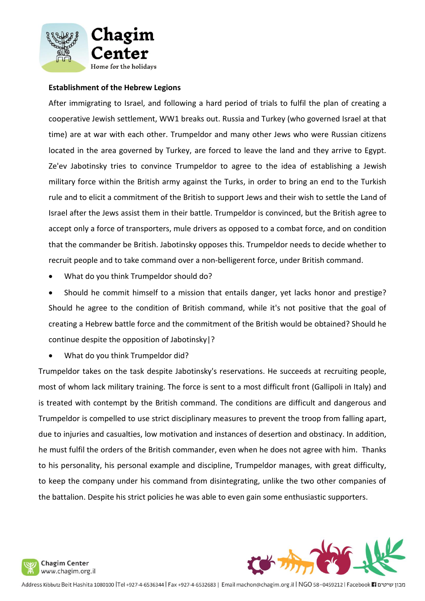

#### **Establishment of the Hebrew Legions**

After immigrating to Israel, and following a hard period of trials to fulfil the plan of creating a cooperative Jewish settlement, WW1 breaks out. Russia and Turkey (who governed Israel at that time) are at war with each other. Trumpeldor and many other Jews who were Russian citizens located in the area governed by Turkey, are forced to leave the land and they arrive to Egypt. Ze'ev Jabotinsky tries to convince Trumpeldor to agree to the idea of establishing a Jewish military force within the British army against the Turks, in order to bring an end to the Turkish rule and to elicit a commitment of the British to support Jews and their wish to settle the Land of Israel after the Jews assist them in their battle. Trumpeldor is convinced, but the British agree to accept only a force of transporters, mule drivers as opposed to a combat force, and on condition that the commander be British. Jabotinsky opposes this. Trumpeldor needs to decide whether to recruit people and to take command over a non-belligerent force, under British command.

• What do you think Trumpeldor should do?

• Should he commit himself to a mission that entails danger, yet lacks honor and prestige? Should he agree to the condition of British command, while it's not positive that the goal of creating a Hebrew battle force and the commitment of the British would be obtained? Should he continue despite the opposition of Jabotinsky|?

• What do you think Trumpeldor did?

Trumpeldor takes on the task despite Jabotinsky's reservations. He succeeds at recruiting people, most of whom lack military training. The force is sent to a most difficult front (Gallipoli in Italy) and is treated with contempt by the British command. The conditions are difficult and dangerous and Trumpeldor is compelled to use strict disciplinary measures to prevent the troop from falling apart, due to injuries and casualties, low motivation and instances of desertion and obstinacy. In addition, he must fulfil the orders of the British commander, even when he does not agree with him. Thanks to his personality, his personal example and discipline, Trumpeldor manages, with great difficulty, to keep the company under his command from disintegrating, unlike the two other companies of the battalion. Despite his strict policies he was able to even gain some enthusiastic supporters.



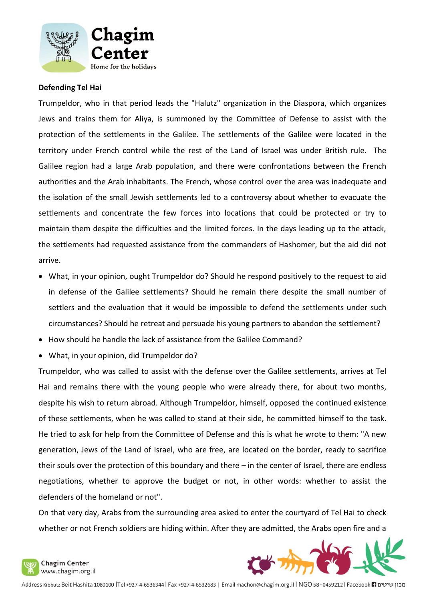

#### **Defending Tel Hai**

Trumpeldor, who in that period leads the "Halutz" organization in the Diaspora, which organizes Jews and trains them for Aliya, is summoned by the Committee of Defense to assist with the protection of the settlements in the Galilee. The settlements of the Galilee were located in the territory under French control while the rest of the Land of Israel was under British rule. The Galilee region had a large Arab population, and there were confrontations between the French authorities and the Arab inhabitants. The French, whose control over the area was inadequate and the isolation of the small Jewish settlements led to a controversy about whether to evacuate the settlements and concentrate the few forces into locations that could be protected or try to maintain them despite the difficulties and the limited forces. In the days leading up to the attack, the settlements had requested assistance from the commanders of Hashomer, but the aid did not arrive.

- What, in your opinion, ought Trumpeldor do? Should he respond positively to the request to aid in defense of the Galilee settlements? Should he remain there despite the small number of settlers and the evaluation that it would be impossible to defend the settlements under such circumstances? Should he retreat and persuade his young partners to abandon the settlement?
- How should he handle the lack of assistance from the Galilee Command?
- What, in your opinion, did Trumpeldor do?

Trumpeldor, who was called to assist with the defense over the Galilee settlements, arrives at Tel Hai and remains there with the young people who were already there, for about two months, despite his wish to return abroad. Although Trumpeldor, himself, opposed the continued existence of these settlements, when he was called to stand at their side, he committed himself to the task. He tried to ask for help from the Committee of Defense and this is what he wrote to them: "A new generation, Jews of the Land of Israel, who are free, are located on the border, ready to sacrifice their souls over the protection of this boundary and there – in the center of Israel, there are endless negotiations, whether to approve the budget or not, in other words: whether to assist the defenders of the homeland or not".

On that very day, Arabs from the surrounding area asked to enter the courtyard of Tel Hai to check whether or not French soldiers are hiding within. After they are admitted, the Arabs open fire and a